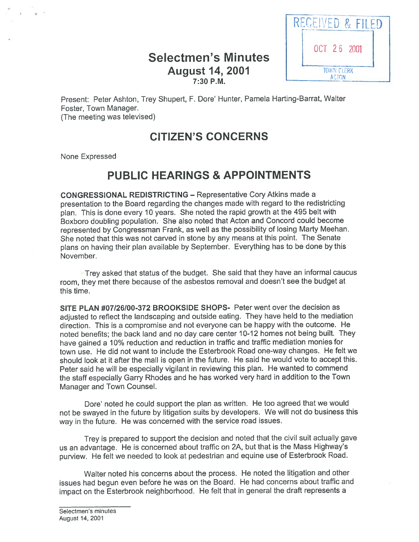## Selectmen's Minutes **August 14, 2001** TOWN CLERK 7:30 P.M.



Present: Peter Ashton, Trey Shupert, F. Dore' Hunter, Pamela Harting-Barrat, Walter Foster, Town Manager. (The meeting was televised)

# CITIZEN'S CONCERNS

None Expressed

# PUBLIC HEARINGS & APPOINTMENTS

CONGRESSIONAL REDISTRICTING — Representative Cory Atkins made <sup>a</sup> presentation to the Board regarding the changes made with regar<sup>d</sup> to the redistricting <sup>p</sup>lan. This is done every <sup>10</sup> years. She noted the rapid growth at the <sup>495</sup> belt with Boxboro doubling population. She also noted that Acton and Concord could become represented by Congressman Frank, as well as the possibility of losing Marty Meehan. She noted that this was not carved in stone by any means at this point. The Senate <sup>p</sup>lans on having their <sup>p</sup>lan available by September. Everything has to be done by this November.

Trey asked that status of the budget. She said that they have an informal caucus room, they met there because of the asbestos removal and doesn't see the budget at this time.

SITE PLAN #07/26/00-372 BROOKSIDE SHOPS- Peter went over the decision as adjusted to reflect the landscaping and outside eating. They have held to the mediation direction. This is <sup>a</sup> compromise and not everyone can be happy with the outcome. He noted benefits; the back land and no day care center 10-12 homes not being built. They have gained <sup>a</sup> 10% reduction and reduction in traffic and traffic mediation monies for town use. He did not want to include the Esterbrook Road one-way changes. He felt we should look at it after the mall is open in the future. He said he would vote to accep<sup>t</sup> this. Peter said he will be especially vigilant in reviewing this <sup>p</sup>lan. He wanted to commend the staff especially Garry Rhodes and he has worked very hard in addition to the Town Manager and Town Counsel.

Dote' noted he could suppor<sup>t</sup> the <sup>p</sup>lan as written. He too agreed that we would not be swaye<sup>d</sup> in the future by litigation suits by developers. We will not do business this way in the future. He was concerned with the service road issues.

Trey is prepare<sup>d</sup> to suppor<sup>t</sup> the decision and noted that the civil suit actually gave us an advantage. He is concerned about traffic on 2A, but that is the Mass Highway's purview. He felt we needed to look at pedestrian and equine use of Esterbrook Road.

Walter noted his concerns about the process. He noted the litigation and other issues had begun even before he was on the Board. He had concerns about traffic and impact on the Esterbrook neighborhood. He felt that in genera<sup>l</sup> the draft represents <sup>a</sup>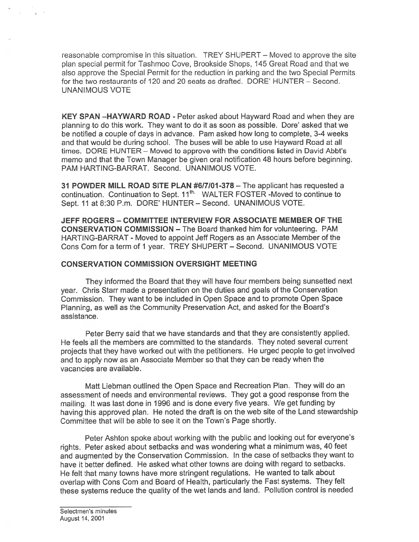reasonable compromise in this situation. TREY SHUPERT — Moved to approve the site plan special permit for Tashmoo Cove, Brookside Shops, 145 Great Road and that we also approve the Special Permit for the reduction in parking and the two Special Permits for the two restaurants of 120 and 20 seats as drafted. DORE' HUNTER — Second. UNANIMOUS VOTE

KEY SPAN —HAYWARD ROAD - Peter asked about Hayward Road and when they are planning to do this work. They want to do it as soon as possible. Dore' asked that we be notified <sup>a</sup> couple of days in advance. Pam asked how long to complete, 3-4 weeks and that would be during school. The buses will be able to use Hayward Road at all times. DORE HUNTER — Moved to approve with the conditions listed in David Abbt's memo and that the Town Manager be given oral notification 48 hours before beginning. PAM HARTING-BARRAT. Second. UNANIMOUS VOTE.

31 POWDER MILL ROAD SITE PLAN #617101-378 — The applicant has requested <sup>a</sup> continuation. Continuation to Sept. 11<sup>th.</sup> WALTER FOSTER -Moved to continue to Sept. 11 at 8:30 P.m. DORE' HUNTER — Second. UNANIMOUS VOTE.

JEFF ROGERS -COMMITTEE INTERVIEW FOR ASSOCIATE MEMBER OF THE CONSERVATION COMMISSION — The Board thanked him for volunteering. PAM HARTING-BARRAT - Moved to appoint Jeff Rogers as an Associate Member of the Cons Com for a term of 1 year. TREY SHUPERT - Second. UNANIMOUS VOTE

#### CONSERVATION COMMISSION OVERSIGHT MEETING

They informed the Board that they will have four members being sunsetted next year. Chris Starr made <sup>a</sup> presentation on the duties and goals of the Conservation Commission. They want to be included in Open Space and to promote Open Space Planning, as well as the Community Preservation Act, and asked for the Board's assistance.

Peter Berry said that we have standards and that they are consistently applied. He feels all the members are committed to the standards. They noted several current projects that they have worked out with the petitioners. He urge<sup>d</sup> people to ge<sup>t</sup> involved and to apply now as an Associate Member so that they can be ready when the vacancies are available.

Matt Liebman outlined the Open Space and Recreation Plan. They will do an assessment of needs and environmental reviews. They go<sup>t</sup> <sup>a</sup> good response from the mailing. It was last done in <sup>1996</sup> and is done every five years. We ge<sup>t</sup> funding by having this approve<sup>d</sup> <sup>p</sup>lan. He noted the draft is on the web site of the Land stewardship Committee that will be able to see it on the Town's Page shortly.

Peter Ashton spoke about working with the public and looking out for everyone's rights. Peter asked about setbacks and was wondering what <sup>a</sup> minimum was, <sup>40</sup> feet and augmented by the Conservation Commission. In the case of setbacks they want to have it better defined. He asked what other towns are doing with regard to setbacks. He felt that many towns have more stringent regulations. He wanted to talk about overlap with Cons Com and Board of Health, particularly the Fast systems. They felt these systems reduce the quality of the wet lands and land. Pollution control is needed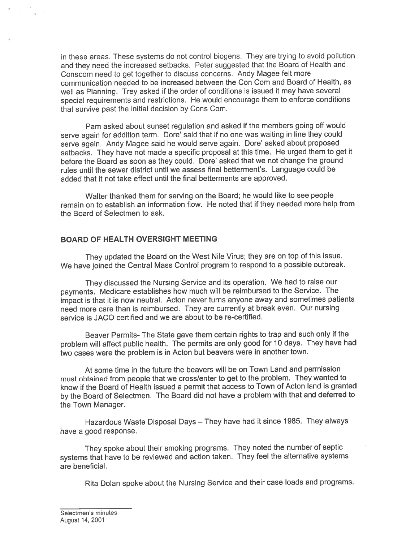in these areas. These systems do not control biogens. They are trying to avoid pollution and they need the increased setbacks. Peter suggested that the Board of Health and Conscom need to ge<sup>t</sup> together to discuss concerns. Andy Magee felt more communication needed to be increased between the Con Com and Board of Health, as well as Planning. Trey asked if the order of conditions is issued it may have several special requirements and restrictions. He would encourage them to enforce conditions that survive past the initial decision by Cons Com.

Pam asked about sunset regulation and asked if the members going off would serve again for addition term. Dore' said that if no one was waiting in line they could serve again. Andy Magee said he would serve again. Dore' asked about proposed setbacks. They have not made <sup>a</sup> specific proposa<sup>l</sup> at this time. He urge<sup>d</sup> them to ge<sup>t</sup> it before the Board as soon as they could. Dote' asked that we not change the groun<sup>d</sup> rules until the sewer district until we assess final betterment's. Language could be added that it not take effect until the final betterments are approved.

Walter thanked them for serving on the Board; he would like to see people remain on to establish an information flow. He noted that if they needed more help from the Board of Selectmen to ask.

#### BOARD OF HEALTH OVERSIGHT MEETING

They updated the Board on the West Nile Virus; they are on top of this issue. We have joined the Central Mass Control program to respond to a possible outbreak.

They discussed the Nursing Service and its operation. We had to raise our payments. Medicare establishes how much will be reimbursed to the Service. The impact is that it is now neutral. Acton never turns anyone away and sometimes patients need more care than is reimbursed. They are currently at break even. Our nursing service is JACO certified and we are about to be re-certified.

Beaver Permits- The State gave them certain rights to trap and such only if the problem will affect public health. The permits are only goo<sup>d</sup> for <sup>10</sup> days. They have had two cases were the problem is in Acton but beavers were in another town.

At some time in the future the beavers will be on Town Land and permission must obtained from people that we cross/enter to ge<sup>t</sup> to the problem. They wanted to know if the Board of Health issued <sup>a</sup> permit that access to Town of Acton land is granted by the Board of Selectmen. The Board did not have <sup>a</sup> problem with that and deferred to the Town Manager.

Hazardous Waste Disposal Days — They have had it since 1985. They always have <sup>a</sup> good response.

They spoke about their smoking programs. They noted the number of septic systems that have to be reviewed and action taken. They feel the alternative systems are beneficial.

Rita Dolan spoke about the Nursing Service and their case loads and programs.

Selectmen's minutes August 14, 2001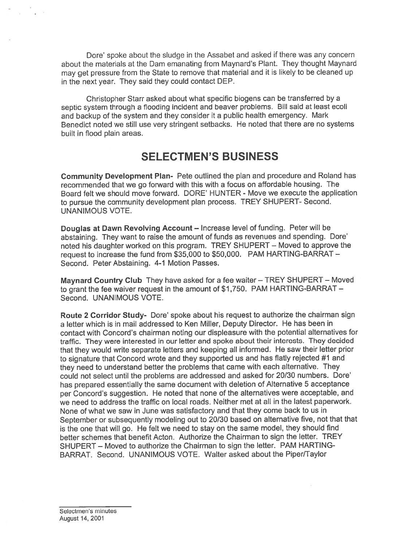Dore' spoke about the sludge in the Assabet and asked if there was any concern about the materials at the Dam emanating from Maynard's Plant. They thought Maynard may ge<sup>t</sup> pressure from the State to remove that material and it is likely to be cleaned up in the next year. They said they could contact DEP.

Christopher Starr asked about what specific biogens can be transferred by <sup>a</sup> septic system through <sup>a</sup> flooding incident and beaver problems. Bill said at least ecoli and backup of the system and they consider it <sup>a</sup> public health emergency. Mark Benedict noted we still use very stringent setbacks. He noted that there are no systems built in flood plain areas.

## SELECTMEN'S BUSINESS

Community Development Plan- Pete outlined the <sup>p</sup>lan and procedure and Roland has recommended that we go forward with this with <sup>a</sup> focus on affordable housing. The Board felt we should move forward. DORE' HUNTER -Move we execute the application to pursue the community development <sup>p</sup>lan process. TREY SHUPERT- Second. UNANIMOUS VOTE.

Douglas at Dawn Revolving Account — Increase level of funding. Peter will be abstaining. They want to raise the amount of funds as revenues and spending. Dore' noted his daughter worked on this program. TREY SHUPERT — Moved to approve the reques<sup>t</sup> to increase the fund from \$35,000 to \$50,000. PAM HARTING-BARRAT — Second. Peter Abstaining. 4-1 Motion Passes.

Maynard Country Club They have asked for <sup>a</sup> fee waiter — TREY SHUPERT — Moved to gran<sup>t</sup> the fee waiver reques<sup>t</sup> in the amount of \$1,750. PAM HARTING-BARRAT — Second. UNANIMOUS VOTE.

Route 2 Corridor Study- Dore' spoke about his request to authorize the chairman sign <sup>a</sup> letter which is in mail addressed to Ken Miller, Deputy Director. He has been in contact with Concord's chairman noting our displeasure with the potential alternatives for traffic. They were interested in our letter and spoke about their interests. They decided that they would write separate letters and keeping all informed. He saw their letter prior to signature that Concord wrote and they supported us and has flatly rejected #1 and they need to understand better the problems that came with each alternative. They could not select until the problems are addressed and asked for 20/30 numbers. Dote' has prepare<sup>d</sup> essentially the same document with deletion of Alternative <sup>5</sup> acceptance per Concord's suggestion. He noted that none of the alternatives were acceptable, and we need to address the traffic on local roads. Neither met at all in the latest paperwork. None of what we saw in June was satisfactory and that they come back to us in September or subsequently modeling out to 20/30 based on alternative five, not that that is the one that will go. He felt we need to stay on the same model, they should find better schemes that benefit Acton. Authorize the Chairman to sign the letter. TREY SHUPERT — Moved to authorize the Chairman to sign the letter. PAM HARTING BARRAT. Second. UNANIMOUS VOTE. Walter asked about the Piper/Taylor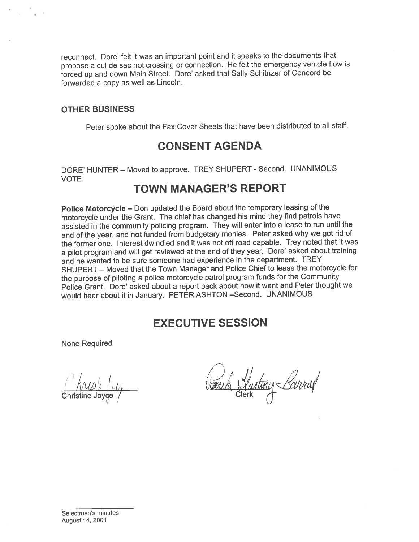reconnect. Dore' felt it was an important point and it speaks to the documents that <sup>p</sup>topose <sup>a</sup> cul de sac not crossing or connection. He felt the emergency vehicle flow is forced up and down Main Street. Dore' asked that Sally Schitnzer of Concord be forwarded <sup>a</sup> copy as well as Lincoln.

#### OTHER BUSINESS

Peter spoke about the Fax Cover Sheets that have been distributed to all staff.

# CONSENT AGENDA

DORE' HUNTER — Moved to approve. TREY SHUPERT - Second. UNANIMOUS VOTE.

## TOWN MANAGER'S REPORT

Police Motorcycle — Don updated the Board about the temporary leasing of the motorcycle under the Grant. The chief has changed his mind they find patrols have assisted in the community policing program. They will enter into <sup>a</sup> lease to run until the end of the year, and not funded from budgetary monies. Peter asked why we go<sup>t</sup> rid of the former one. Interest dwindled and it was not off road capable. Trey noted that it was a pilot program and will get reviewed at the end of they year. Dore' asked about training and he wanted to be sure someone had experience in the department. TREY SHUPERT — Moved that the Town Manager and Police Chief to lease the motorcycle for the purpose of <sup>p</sup>iloting <sup>a</sup> police motorcycle patrol program funds for the Community Police Grant. Dore' asked about <sup>a</sup> repor<sup>t</sup> back about how it went and Peter thought we would hear about it in January. PETER ASHTON —Second. UNANIMOUS

# EXECUTIVE SESSION

None Required

 $1 / 1 / 1$ ANDLEUI CHRISTIA Vartuny Barren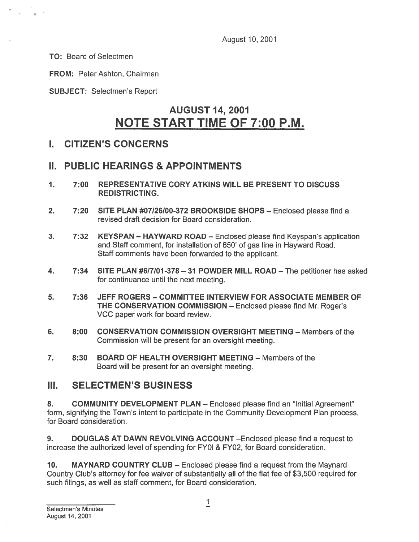August 10, 2001

TO: Board of Selectmen

FROM: Peter Ashton, Chairman

SUBJECT: Selectmen's Report

# AUGUST 14, 2001 NOTE START TIME OF 7:00 RM.

### I. CITIZEN'S CONCERNS

## II. PUBLIC HEARINGS & APPOINTMENTS

- 1. 7:00 REPRESENTATIVE CORY ATKINS WILL BE PRESENT TO DISCUSS REDISTRICTING.
- 2. 7:20 SITE PLAN #07/26/00-372 BROOKSIDE SHOPS Enclosed please find <sup>a</sup> revised draft decision for Board consideration.
- 3. 7:32 KEYSPAN HAYWARD ROAD Enclosed please find Keyspan's application and Staff comment, for installation of 650' of gas line in Hayward Road. Staff comments have been forwarded to the applicant.
- 4. 7:34 SITE PLAN #6/7/01 -378— <sup>31</sup> POWDER MILL ROAD The petitioner has asked for continuance until the next meeting.
- 5. 7:36 JEFF ROGERS COMMITTEE INTERVIEW FOR ASSOCIATE MEMBER OF THE CONSERVATION COMMISSION — Enclosed please find Mr. Roger's VCC paper work for board review.
- 6. 8:00 CONSERVATION COMMISSION OVERSIGHT MEETING Members of the Commission will be presen<sup>t</sup> for an oversight meeting.
- 7. 8:30 BOARD OF HEALTH OVERSIGHT MEETING Members of the Board will be presen<sup>t</sup> for an oversight meeting.

### III. SELECTMEN'S BUSINESS

8. COMMUNITY DEVELOPMENT PLAN - Enclosed please find an "Initial Agreement" form, signifying the Town's intent to participate in the Community Development Plan process, for Board consideration.

9. DOUGLAS AT DAWN REVOLVING ACCOUNT —Enclosed please find <sup>a</sup> reques<sup>t</sup> to increase the authorized level of spending for FY01 & FY02, for Board consideration.

10. MAYNARD COUNTRY CLUB — Enclosed please find <sup>a</sup> reques<sup>t</sup> from the Maynard Country Club's attorney for fee waiver of substantially all of the flat fee of \$3,500 required for such filings, as well as staff comment, for Board consideration.